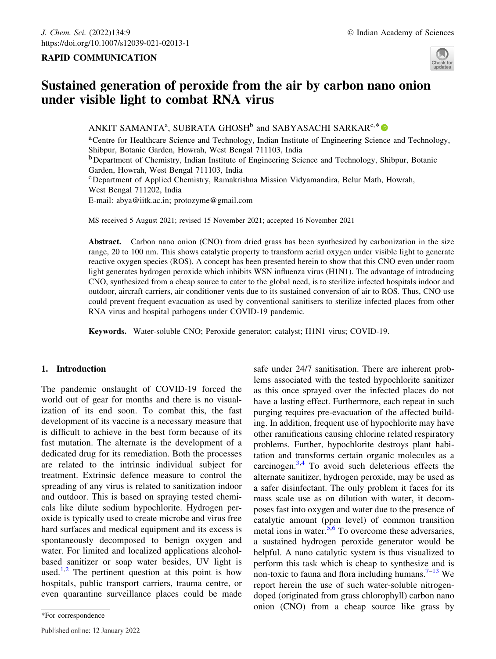## RAPID COMMUNICATION



# Sustained generation of peroxide from the air by carbon nano onion under visible light to combat RNA virus

ANKIT SAMANTA<sup>a</sup>, SUBRATA GHOSH<sup>b</sup> and SABYASACHI SARKAR<sup>c,\*</sup>

aCentre for Healthcare Science and Technology, Indian Institute of Engineering Science and Technology, Shibpur, Botanic Garden, Howrah, West Bengal 711103, India <sup>b</sup>Department of Chemistry, Indian Institute of Engineering Science and Technology, Shibpur, Botanic Garden, Howrah, West Bengal 711103, India

cDepartment of Applied Chemistry, Ramakrishna Mission Vidyamandira, Belur Math, Howrah, West Bengal 711202, India E-mail: abya@iitk.ac.in; protozyme@gmail.com

MS received 5 August 2021; revised 15 November 2021; accepted 16 November 2021

Abstract. Carbon nano onion (CNO) from dried grass has been synthesized by carbonization in the size range, 20 to 100 nm. This shows catalytic property to transform aerial oxygen under visible light to generate reactive oxygen species (ROS). A concept has been presented herein to show that this CNO even under room light generates hydrogen peroxide which inhibits WSN influenza virus (H1N1). The advantage of introducing CNO, synthesized from a cheap source to cater to the global need, is to sterilize infected hospitals indoor and outdoor, aircraft carriers, air conditioner vents due to its sustained conversion of air to ROS. Thus, CNO use could prevent frequent evacuation as used by conventional sanitisers to sterilize infected places from other RNA virus and hospital pathogens under COVID-19 pandemic.

Keywords. Water-soluble CNO; Peroxide generator; catalyst; H1N1 virus; COVID-19.

# 1. Introduction

The pandemic onslaught of COVID-19 forced the world out of gear for months and there is no visualization of its end soon. To combat this, the fast development of its vaccine is a necessary measure that is difficult to achieve in the best form because of its fast mutation. The alternate is the development of a dedicated drug for its remediation. Both the processes are related to the intrinsic individual subject for treatment. Extrinsic defence measure to control the spreading of any virus is related to sanitization indoor and outdoor. This is based on spraying tested chemicals like dilute sodium hypochlorite. Hydrogen peroxide is typically used to create microbe and virus free hard surfaces and medical equipment and its excess is spontaneously decomposed to benign oxygen and water. For limited and localized applications alcoholbased sanitizer or soap water besides, UV light is used.<sup>1,2</sup> The pertinent question at this point is how hospitals, public transport carriers, trauma centre, or even quarantine surveillance places could be made safe under 24/7 sanitisation. There are inherent problems associated with the tested hypochlorite sanitizer as this once sprayed over the infected places do not have a lasting effect. Furthermore, each repeat in such purging requires pre-evacuation of the affected building. In addition, frequent use of hypochlorite may have other ramifications causing chlorine related respiratory problems. Further, hypochlorite destroys plant habitation and transforms certain organic molecules as a carcinogen.3,4 To avoid such deleterious effects the alternate sanitizer, hydrogen peroxide, may be used as a safer disinfectant. The only problem it faces for its mass scale use as on dilution with water, it decomposes fast into oxygen and water due to the presence of catalytic amount (ppm level) of common transition metal ions in water.5,6 To overcome these adversaries, a sustained hydrogen peroxide generator would be helpful. A nano catalytic system is thus visualized to perform this task which is cheap to synthesize and is non-toxic to fauna and flora including humans.<sup>7–13</sup> We report herein the use of such water-soluble nitrogendoped (originated from grass chlorophyll) carbon nano onion (CNO) from a cheap source like grass by

<sup>\*</sup>For correspondence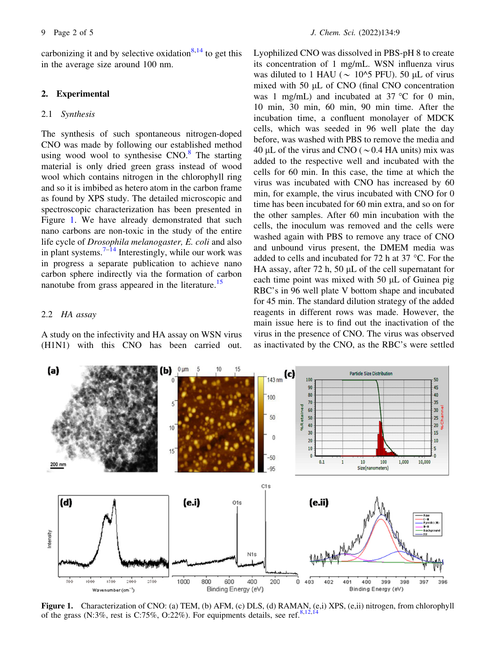carbonizing it and by selective oxidation $8,14$  to get this in the average size around 100 nm.

#### 2. Experimental

#### 2.1 Synthesis

The synthesis of such spontaneous nitrogen-doped CNO was made by following our established method using wood wool to synthesise  $CNO<sup>8</sup>$ . The starting material is only dried green grass instead of wood wool which contains nitrogen in the chlorophyll ring and so it is imbibed as hetero atom in the carbon frame as found by XPS study. The detailed microscopic and spectroscopic characterization has been presented in Figure 1. We have already demonstrated that such nano carbons are non-toxic in the study of the entire life cycle of Drosophila melanogaster, E. coli and also in plant systems.<sup>7–14</sup> Interestingly, while our work was in progress a separate publication to achieve nano carbon sphere indirectly via the formation of carbon nanotube from grass appeared in the literature.<sup>15</sup>

## 2.2 HA assay

A study on the infectivity and HA assay on WSN virus (H1N1) with this CNO has been carried out. Lyophilized CNO was dissolved in PBS-pH 8 to create its concentration of 1 mg/mL. WSN influenza virus was diluted to 1 HAU ( $\sim$  10^5 PFU). 50 µL of virus mixed with  $50 \mu L$  of CNO (final CNO concentration was 1 mg/mL) and incubated at  $37^{\circ}$ C for 0 min, 10 min, 30 min, 60 min, 90 min time. After the incubation time, a confluent monolayer of MDCK cells, which was seeded in 96 well plate the day before, was washed with PBS to remove the media and 40 µL of the virus and CNO ( $\sim$  0.4 HA units) mix was added to the respective well and incubated with the cells for 60 min. In this case, the time at which the virus was incubated with CNO has increased by 60 min, for example, the virus incubated with CNO for 0 time has been incubated for 60 min extra, and so on for the other samples. After 60 min incubation with the cells, the inoculum was removed and the cells were washed again with PBS to remove any trace of CNO and unbound virus present, the DMEM media was added to cells and incubated for 72 h at 37  $\,^{\circ}$ C. For the HA assay, after 72 h, 50  $\mu$ L of the cell supernatant for each time point was mixed with  $50 \mu L$  of Guinea pig RBC's in 96 well plate V bottom shape and incubated for 45 min. The standard dilution strategy of the added reagents in different rows was made. However, the main issue here is to find out the inactivation of the virus in the presence of CNO. The virus was observed as inactivated by the CNO, as the RBC's were settled



Figure 1. Characterization of CNO: (a) TEM, (b) AFM, (c) DLS, (d) RAMAN, (e,i) XPS, (e,ii) nitrogen, from chlorophyll of the grass (N:3%, rest is C:75%, O:22%). For equipments details, see ref.<sup>8,12,12</sup>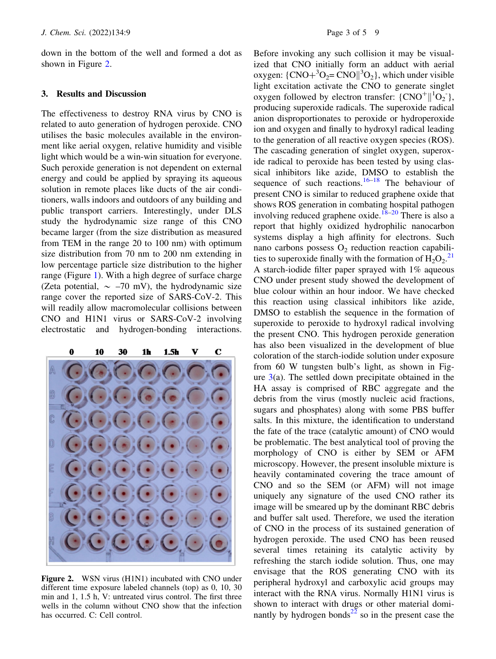down in the bottom of the well and formed a dot as shown in Figure 2.

#### 3. Results and Discussion

The effectiveness to destroy RNA virus by CNO is related to auto generation of hydrogen peroxide. CNO utilises the basic molecules available in the environment like aerial oxygen, relative humidity and visible light which would be a win-win situation for everyone. Such peroxide generation is not dependent on external energy and could be applied by spraying its aqueous solution in remote places like ducts of the air conditioners, walls indoors and outdoors of any building and public transport carriers. Interestingly, under DLS study the hydrodynamic size range of this CNO became larger (from the size distribution as measured from TEM in the range 20 to 100 nm) with optimum size distribution from 70 nm to 200 nm extending in low percentage particle size distribution to the higher range (Figure 1). With a high degree of surface charge (Zeta potential,  $\sim -70$  mV), the hydrodynamic size range cover the reported size of SARS-CoV-2. This will readily allow macromolecular collisions between CNO and H1N1 virus or SARS-CoV-2 involving electrostatic and hydrogen-bonding interactions.



Figure 2. WSN virus (H1N1) incubated with CNO under different time exposure labeled channels (top) as 0, 10, 30 min and 1, 1.5 h, V: untreated virus control. The first three wells in the column without CNO show that the infection has occurred. C: Cell control.

Before invoking any such collision it may be visualized that CNO initially form an adduct with aerial oxygen:  $\{CNO+{}^{3}O_{2} = CNO\| {}^{3}O_{2} \}$ , which under visible light excitation activate the CNO to generate singlet oxygen followed by electron transfer:  $\{CNO^+ \parallel ^1O_2\}$ , producing superoxide radicals. The superoxide radical anion disproportionates to peroxide or hydroperoxide ion and oxygen and finally to hydroxyl radical leading to the generation of all reactive oxygen species (ROS). The cascading generation of singlet oxygen, superoxide radical to peroxide has been tested by using classical inhibitors like azide, DMSO to establish the sequence of such reactions.<sup>16–18</sup> The behaviour of present CNO is similar to reduced graphene oxide that shows ROS generation in combating hospital pathogen involving reduced graphene oxide.<sup>18–20</sup> There is also a report that highly oxidized hydrophilic nanocarbon systems display a high affinity for electrons. Such nano carbons possess  $O_2$  reduction reaction capabilities to superoxide finally with the formation of  $\text{H}_2\text{O}_2$ .<sup>21</sup> A starch-iodide filter paper sprayed with 1% aqueous CNO under present study showed the development of blue colour within an hour indoor. We have checked this reaction using classical inhibitors like azide, DMSO to establish the sequence in the formation of superoxide to peroxide to hydroxyl radical involving the present CNO. This hydrogen peroxide generation has also been visualized in the development of blue coloration of the starch-iodide solution under exposure from 60 W tungsten bulb's light, as shown in Figure  $3(a)$ . The settled down precipitate obtained in the HA assay is comprised of RBC aggregate and the debris from the virus (mostly nucleic acid fractions, sugars and phosphates) along with some PBS buffer salts. In this mixture, the identification to understand the fate of the trace (catalytic amount) of CNO would be problematic. The best analytical tool of proving the morphology of CNO is either by SEM or AFM microscopy. However, the present insoluble mixture is heavily contaminated covering the trace amount of CNO and so the SEM (or AFM) will not image uniquely any signature of the used CNO rather its image will be smeared up by the dominant RBC debris and buffer salt used. Therefore, we used the iteration of CNO in the process of its sustained generation of hydrogen peroxide. The used CNO has been reused several times retaining its catalytic activity by refreshing the starch iodide solution. Thus, one may envisage that the ROS generating CNO with its peripheral hydroxyl and carboxylic acid groups may interact with the RNA virus. Normally H1N1 virus is shown to interact with drugs or other material dominantly by hydrogen bonds $^{22}$  so in the present case the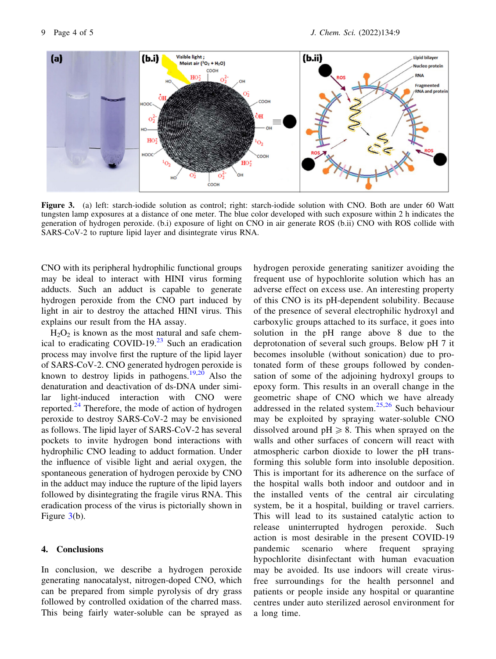

Figure 3. (a) left: starch-iodide solution as control; right: starch-iodide solution with CNO. Both are under 60 Watt tungsten lamp exposures at a distance of one meter. The blue color developed with such exposure within 2 h indicates the generation of hydrogen peroxide. (b.i) exposure of light on CNO in air generate ROS (b.ii) CNO with ROS collide with SARS-CoV-2 to rupture lipid layer and disintegrate virus RNA.

CNO with its peripheral hydrophilic functional groups may be ideal to interact with HINI virus forming adducts. Such an adduct is capable to generate hydrogen peroxide from the CNO part induced by light in air to destroy the attached HINI virus. This explains our result from the HA assay.

 $H_2O_2$  is known as the most natural and safe chemical to eradicating COVID-19. $^{23}$  Such an eradication process may involve first the rupture of the lipid layer of SARS-CoV-2. CNO generated hydrogen peroxide is known to destroy lipids in pathogens.<sup>19,20</sup> Also the denaturation and deactivation of ds-DNA under similar light-induced interaction with CNO were reported. $^{24}$  Therefore, the mode of action of hydrogen peroxide to destroy SARS-CoV-2 may be envisioned as follows. The lipid layer of SARS-CoV-2 has several pockets to invite hydrogen bond interactions with hydrophilic CNO leading to adduct formation. Under the influence of visible light and aerial oxygen, the spontaneous generation of hydrogen peroxide by CNO in the adduct may induce the rupture of the lipid layers followed by disintegrating the fragile virus RNA. This eradication process of the virus is pictorially shown in Figure 3(b).

## 4. Conclusions

In conclusion, we describe a hydrogen peroxide generating nanocatalyst, nitrogen-doped CNO, which can be prepared from simple pyrolysis of dry grass followed by controlled oxidation of the charred mass. This being fairly water-soluble can be sprayed as hydrogen peroxide generating sanitizer avoiding the frequent use of hypochlorite solution which has an adverse effect on excess use. An interesting property of this CNO is its pH-dependent solubility. Because of the presence of several electrophilic hydroxyl and carboxylic groups attached to its surface, it goes into solution in the pH range above 8 due to the deprotonation of several such groups. Below pH 7 it becomes insoluble (without sonication) due to protonated form of these groups followed by condensation of some of the adjoining hydroxyl groups to epoxy form. This results in an overall change in the geometric shape of CNO which we have already addressed in the related system.25,26 Such behaviour may be exploited by spraying water-soluble CNO dissolved around  $pH \ge 8$ . This when sprayed on the walls and other surfaces of concern will react with atmospheric carbon dioxide to lower the pH transforming this soluble form into insoluble deposition. This is important for its adherence on the surface of the hospital walls both indoor and outdoor and in the installed vents of the central air circulating system, be it a hospital, building or travel carriers. This will lead to its sustained catalytic action to release uninterrupted hydrogen peroxide. Such action is most desirable in the present COVID-19 pandemic scenario where frequent spraying hypochlorite disinfectant with human evacuation may be avoided. Its use indoors will create virusfree surroundings for the health personnel and patients or people inside any hospital or quarantine centres under auto sterilized aerosol environment for a long time.